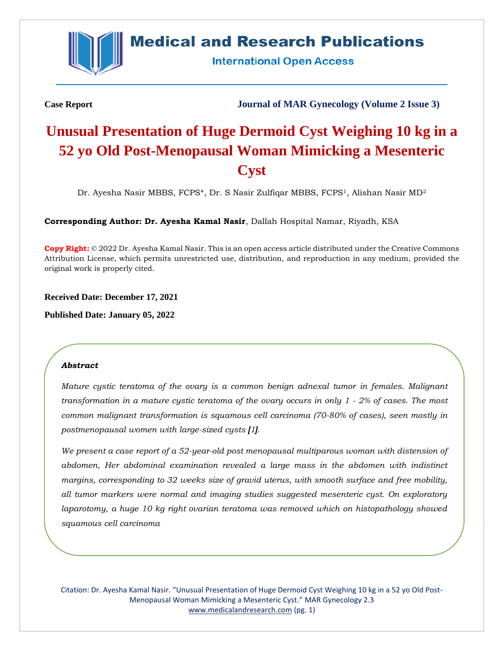

# **Medical and Research Publications**

**International Open Access** 

**Case Report Journal of MAR Gynecology (Volume 2 Issue 3)**

# **Unusual Presentation of Huge Dermoid Cyst Weighing 10 kg in a 52 yo Old Post-Menopausal Woman Mimicking a Mesenteric Cyst**

Dr. Ayesha Nasir MBBS, FCPS\*, Dr. S Nasir Zulfiqar MBBS, FCPS<sup>1</sup>, Alishan Nasir MD<sup>2</sup>

**Corresponding Author: Dr. Ayesha Kamal Nasir**, Dallah Hospital Namar, Riyadh, KSA

**Copy Right:** © 2022 Dr. Ayesha Kamal Nasir. This is an open access article distributed under the Creative Commons Attribution License, which permits unrestricted use, distribution, and reproduction in any medium, provided the original work is properly cited.

**Received Date: December 17, 2021**

**Published Date: January 05, 2022**

#### *Abstract*

*Mature cystic teratoma of the ovary is a common benign adnexal tumor in females. Malignant transformation in a mature cystic teratoma of the ovary occurs in only 1 - 2% of cases. The most common malignant transformation is squamous cell carcinoma (70-80% of cases), seen mostly in postmenopausal women with large-sized cysts [1].*

*We present a case report of a 52-year-old post menopausal multiparous woman with distension of abdomen, Her abdominal examination revealed a large mass in the abdomen with indistinct margins, corresponding to 32 weeks size of gravid uterus, with smooth surface and free mobility, all tumor markers were normal and imaging studies suggested mesenteric cyst. On exploratory laparotomy, a huge 10 kg right ovarian teratoma was removed which on histopathology showed squamous cell carcinoma*

Citation: Dr. Ayesha Kamal Nasir. "Unusual Presentation of Huge Dermoid Cyst Weighing 10 kg in a 52 yo Old Post-Menopausal Woman Mimicking a Mesenteric Cyst." MAR Gynecology 2.3 [www.medicalandresearch.com](http://www.medicalandresearch.com/) (pg. 1)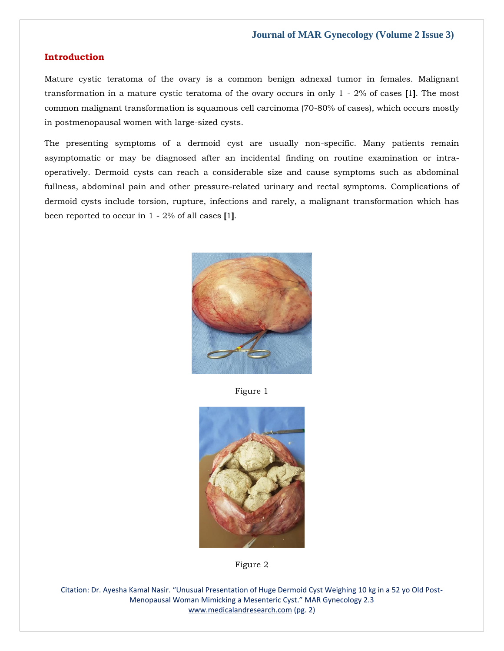# **Introduction**

Mature cystic teratoma of the ovary is a common benign adnexal tumor in females. Malignant transformation in a mature cystic teratoma of the ovary occurs in only 1 - 2% of cases **[**1**]**. The most common malignant transformation is squamous cell carcinoma (70-80% of cases), which occurs mostly in postmenopausal women with large-sized cysts.

The presenting symptoms of a dermoid cyst are usually non-specific. Many patients remain asymptomatic or may be diagnosed after an incidental finding on routine examination or intraoperatively. Dermoid cysts can reach a considerable size and cause symptoms such as abdominal fullness, abdominal pain and other pressure-related urinary and rectal symptoms. Complications of dermoid cysts include torsion, rupture, infections and rarely, a malignant transformation which has been reported to occur in 1 - 2% of all cases **[**1**]**.



Figure 1





Citation: Dr. Ayesha Kamal Nasir. "Unusual Presentation of Huge Dermoid Cyst Weighing 10 kg in a 52 yo Old Post-Menopausal Woman Mimicking a Mesenteric Cyst." MAR Gynecology 2.3 [www.medicalandresearch.com](http://www.medicalandresearch.com/) (pg. 2)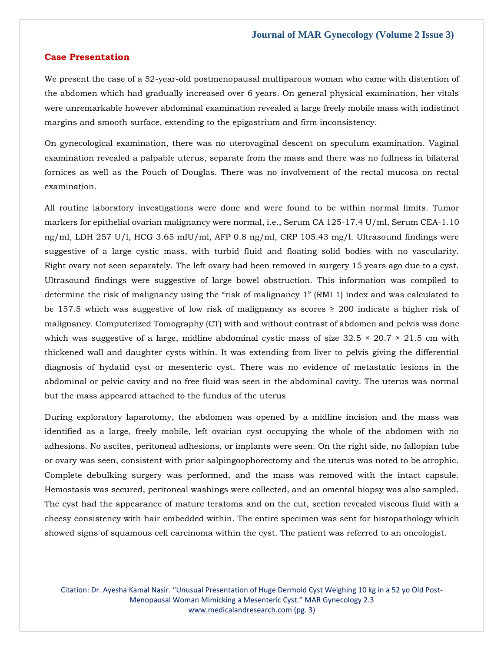#### **Case Presentation**

We present the case of a 52-year-old postmenopausal multiparous woman who came with distention of the abdomen which had gradually increased over 6 years. On general physical examination, her vitals were unremarkable however abdominal examination revealed a large freely mobile mass with indistinct margins and smooth surface, extending to the epigastrium and firm inconsistency.

On gynecological examination, there was no uterovaginal descent on speculum examination. Vaginal examination revealed a palpable uterus, separate from the mass and there was no fullness in bilateral fornices as well as the Pouch of Douglas. There was no involvement of the rectal mucosa on rectal examination.

All routine laboratory investigations were done and were found to be within normal limits. Tumor markers for epithelial ovarian malignancy were normal, i.e., Serum CA 125-17.4 U/ml, Serum CEA-1.10 ng/ml, LDH 257 U/l, HCG 3.65 mIU/ml, AFP 0.8 ng/ml, CRP 105.43 mg/l. Ultrasound findings were suggestive of a large cystic mass, with turbid fluid and floating solid bodies with no vascularity. Right ovary not seen separately. The left ovary had been removed in surgery 15 years ago due to a cyst. Ultrasound findings were suggestive of large bowel obstruction. This information was compiled to determine the risk of malignancy using the "risk of malignancy 1" (RMI 1) index and was calculated to be 157.5 which was suggestive of low risk of malignancy as scores ≥ 200 indicate a higher risk of malignancy. Computerized Tomography (CT) with and without contrast of abdomen and pelvis was done which was suggestive of a large, midline abdominal cystic mass of size  $32.5 \times 20.7 \times 21.5$  cm with thickened wall and daughter cysts within. It was extending from liver to pelvis giving the differential diagnosis of hydatid cyst or mesenteric cyst. There was no evidence of metastatic lesions in the abdominal or pelvic cavity and no free fluid was seen in the abdominal cavity. The uterus was normal but the mass appeared attached to the fundus of the uterus

During exploratory laparotomy, the abdomen was opened by a midline incision and the mass was identified as a large, freely mobile, left ovarian cyst occupying the whole of the abdomen with no adhesions. No ascites, peritoneal adhesions, or implants were seen. On the right side, no fallopian tube or ovary was seen, consistent with prior salpingoophorectomy and the uterus was noted to be atrophic. Complete debulking surgery was performed, and the mass was removed with the intact capsule. Hemostasis was secured, peritoneal washings were collected, and an omental biopsy was also sampled. The cyst had the appearance of mature teratoma and on the cut, section revealed viscous fluid with a cheesy consistency with hair embedded within. The entire specimen was sent for histopathology which showed signs of squamous cell carcinoma within the cyst. The patient was referred to an oncologist.

Citation: Dr. Ayesha Kamal Nasir. "Unusual Presentation of Huge Dermoid Cyst Weighing 10 kg in a 52 yo Old Post-Menopausal Woman Mimicking a Mesenteric Cyst." MAR Gynecology 2.3 [www.medicalandresearch.com](http://www.medicalandresearch.com/) (pg. 3)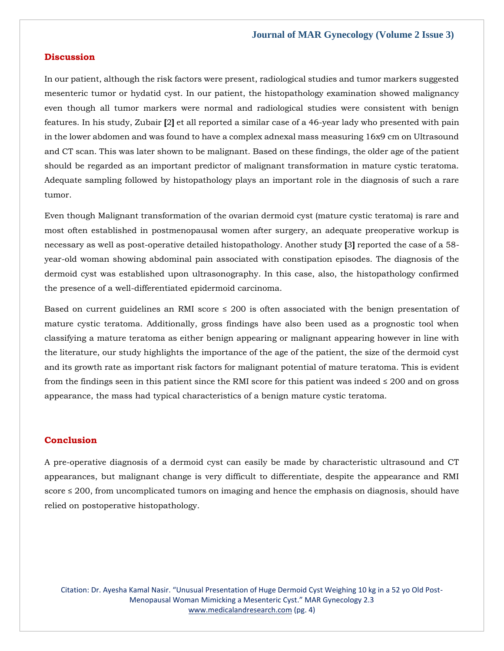#### **Discussion**

In our patient, although the risk factors were present, radiological studies and tumor markers suggested mesenteric tumor or hydatid cyst. In our patient, the histopathology examination showed malignancy even though all tumor markers were normal and radiological studies were consistent with benign features. In his study, Zubair **[**2**]** et all reported a similar case of a 46-year lady who presented with pain in the lower abdomen and was found to have a complex adnexal mass measuring 16x9 cm on Ultrasound and CT scan. This was later shown to be malignant. Based on these findings, the older age of the patient should be regarded as an important predictor of malignant transformation in mature cystic teratoma. Adequate sampling followed by histopathology plays an important role in the diagnosis of such a rare tumor.

Even though Malignant transformation of the ovarian dermoid cyst (mature cystic teratoma) is rare and most often established in postmenopausal women after surgery, an adequate preoperative workup is necessary as well as post-operative detailed histopathology. Another study **[**3**]** reported the case of a 58 year-old woman showing abdominal pain associated with constipation episodes. The diagnosis of the dermoid cyst was established upon ultrasonography. In this case, also, the histopathology confirmed the presence of a well-differentiated epidermoid carcinoma.

Based on current guidelines an RMI score  $\leq$  200 is often associated with the benign presentation of mature cystic teratoma. Additionally, gross findings have also been used as a prognostic tool when classifying a mature teratoma as either benign appearing or malignant appearing however in line with the literature, our study highlights the importance of the age of the patient, the size of the dermoid cyst and its growth rate as important risk factors for malignant potential of mature teratoma. This is evident from the findings seen in this patient since the RMI score for this patient was indeed  $\leq 200$  and on gross appearance, the mass had typical characteristics of a benign mature cystic teratoma.

## **Conclusion**

A pre-operative diagnosis of a dermoid cyst can easily be made by characteristic ultrasound and CT appearances, but malignant change is very difficult to differentiate, despite the appearance and RMI score  $\leq$  200, from uncomplicated tumors on imaging and hence the emphasis on diagnosis, should have relied on postoperative histopathology.

Citation: Dr. Ayesha Kamal Nasir. "Unusual Presentation of Huge Dermoid Cyst Weighing 10 kg in a 52 yo Old Post-Menopausal Woman Mimicking a Mesenteric Cyst." MAR Gynecology 2.3 [www.medicalandresearch.com](http://www.medicalandresearch.com/) (pg. 4)